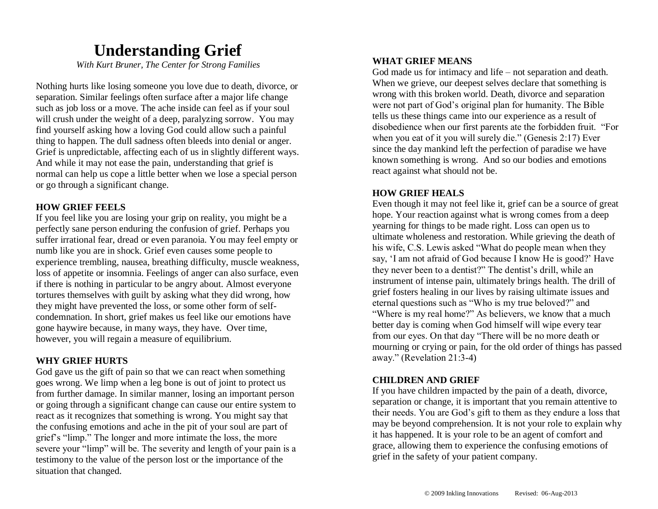## **Understanding Grief**

*With Kurt Bruner, The Center for Strong Families*

Nothing hurts like losing someone you love due to death, divorce, or separation. Similar feelings often surface after a major life change such as job loss or a move. The ache inside can feel as if your soul will crush under the weight of a deep, paralyzing sorrow. You may find yourself asking how a loving God could allow such a painful thing to happen. The dull sadness often bleeds into denial or anger. Grief is unpredictable, affecting each of us in slightly different ways. And while it may not ease the pain, understanding that grief is normal can help us cope a little better when we lose a special person or go through a significant change.

#### **HOW GRIEF FEELS**

If you feel like you are losing your grip on reality, you might be a perfectly sane person enduring the confusion of grief. Perhaps you suffer irrational fear, dread or even paranoia. You may feel empty or numb like you are in shock. Grief even causes some people to experience trembling, nausea, breathing difficulty, muscle weakness, loss of appetite or insomnia. Feelings of anger can also surface, even if there is nothing in particular to be angry about. Almost everyone tortures themselves with guilt by asking what they did wrong, how they might have prevented the loss, or some other form of selfcondemnation. In short, grief makes us feel like our emotions have gone haywire because, in many ways, they have. Over time, however, you will regain a measure of equilibrium.

#### **WHY GRIEF HURTS**

God gave us the gift of pain so that we can react when something goes wrong. We limp when a leg bone is out of joint to protect us from further damage. In similar manner, losing an important person or going through a significant change can cause our entire system to react as it recognizes that something is wrong. You might say that the confusing emotions and ache in the pit of your soul are part of grief's "limp." The longer and more intimate the loss, the more severe your "limp" will be. The severity and length of your pain is a testimony to the value of the person lost or the importance of the situation that changed.

#### **WHAT GRIEF MEANS**

God made us for intimacy and life – not separation and death. When we grieve, our deepest selves declare that something is wrong with this broken world. Death, divorce and separation were not part of God's original plan for humanity. The Bible tells us these things came into our experience as a result of disobedience when our first parents ate the forbidden fruit. "For when you eat of it you will surely die." (Genesis 2:17) Ever since the day mankind left the perfection of paradise we have known something is wrong. And so our bodies and emotions react against what should not be.

#### **HOW GRIEF HEALS**

Even though it may not feel like it, grief can be a source of great hope. Your reaction against what is wrong comes from a deep yearning for things to be made right. Loss can open us to ultimate wholeness and restoration. While grieving the death of his wife, C.S. Lewis asked "What do people mean when they say, 'I am not afraid of God because I know He is good?' Have they never been to a dentist?" The dentist's drill, while an instrument of intense pain, ultimately brings health. The drill of grief fosters healing in our lives by raising ultimate issues and eternal questions such as "Who is my true beloved?" and "Where is my real home?" As believers, we know that a much better day is coming when God himself will wipe every tear from our eyes. On that day "There will be no more death or mourning or crying or pain, for the old order of things has passed away." (Revelation 21:3-4)

#### **CHILDREN AND GRIEF**

If you have children impacted by the pain of a death, divorce, separation or change, it is important that you remain attentive to their needs. You are God's gift to them as they endure a loss that may be beyond comprehension. It is not your role to explain why it has happened. It is your role to be an agent of comfort and grace, allowing them to experience the confusing emotions of grief in the safety of your patient company.